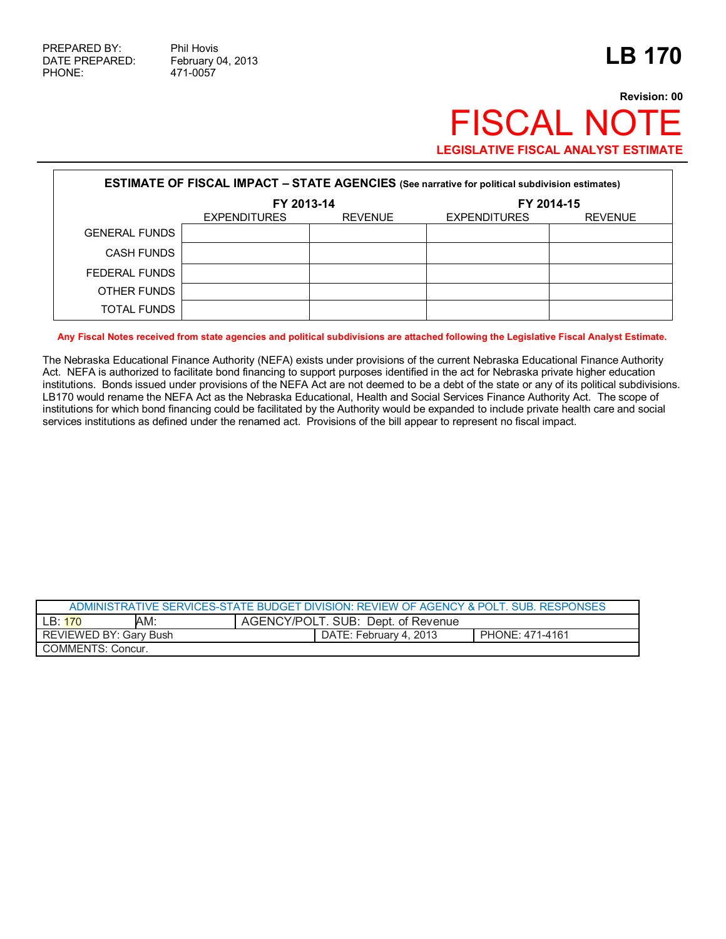## **Revision: 00** FISCAL NOTE **LEGISLATIVE FISCAL ANALYST ESTIMATE**

| <b>ESTIMATE OF FISCAL IMPACT - STATE AGENCIES</b> (See narrative for political subdivision estimates) |                     |                |                     |                |  |  |
|-------------------------------------------------------------------------------------------------------|---------------------|----------------|---------------------|----------------|--|--|
|                                                                                                       | FY 2013-14          |                | FY 2014-15          |                |  |  |
|                                                                                                       | <b>EXPENDITURES</b> | <b>REVENUE</b> | <b>EXPENDITURES</b> | <b>REVENUE</b> |  |  |
| <b>GENERAL FUNDS</b>                                                                                  |                     |                |                     |                |  |  |
| <b>CASH FUNDS</b>                                                                                     |                     |                |                     |                |  |  |
| FEDERAL FUNDS                                                                                         |                     |                |                     |                |  |  |
| OTHER FUNDS                                                                                           |                     |                |                     |                |  |  |
| <b>TOTAL FUNDS</b>                                                                                    |                     |                |                     |                |  |  |

**Any Fiscal Notes received from state agencies and political subdivisions are attached following the Legislative Fiscal Analyst Estimate.** 

The Nebraska Educational Finance Authority (NEFA) exists under provisions of the current Nebraska Educational Finance Authority Act. NEFA is authorized to facilitate bond financing to support purposes identified in the act for Nebraska private higher education institutions. Bonds issued under provisions of the NEFA Act are not deemed to be a debt of the state or any of its political subdivisions. LB170 would rename the NEFA Act as the Nebraska Educational, Health and Social Services Finance Authority Act. The scope of institutions for which bond financing could be facilitated by the Authority would be expanded to include private health care and social services institutions as defined under the renamed act. Provisions of the bill appear to represent no fiscal impact.

| ADMINISTRATIVE SERVICES-STATE BUDGET DIVISION: REVIEW OF AGENCY & POLT SUB RESPONSES |     |                                    |                        |                 |  |  |
|--------------------------------------------------------------------------------------|-----|------------------------------------|------------------------|-----------------|--|--|
| IR:170                                                                               | AM: | AGENCY/POLT. SUB: Dept. of Revenue |                        |                 |  |  |
| REVIEWED BY: Gary Bush                                                               |     |                                    | DATE: February 4, 2013 | PHONE: 471-4161 |  |  |
| COMMENTS: Concur.                                                                    |     |                                    |                        |                 |  |  |